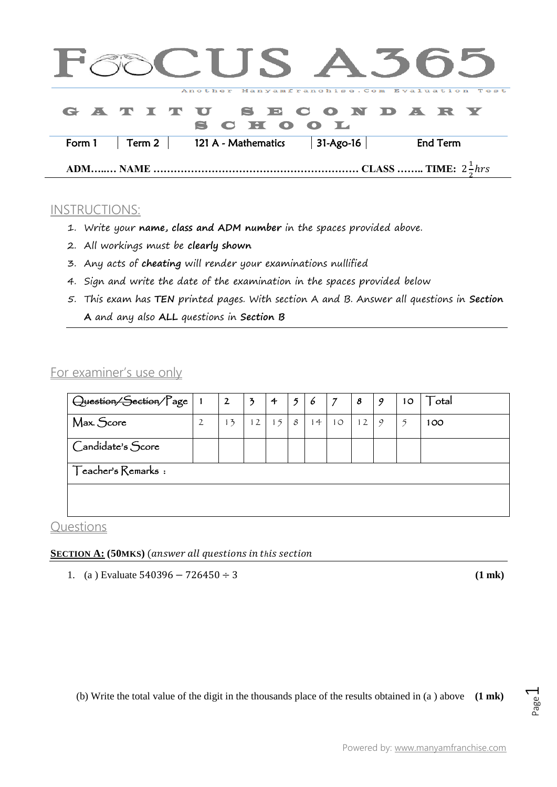|        |                  |                    |  | CUS A505                                     |             |                                  |                 |  |
|--------|------------------|--------------------|--|----------------------------------------------|-------------|----------------------------------|-----------------|--|
|        |                  |                    |  | Another Manyamfranchise. Com Evaluation Test |             |                                  |                 |  |
|        |                  |                    |  | GATITU SECONDARY<br>CHOOL                    |             |                                  |                 |  |
| Form 1 |                  | Term 2 $\parallel$ |  | 121 A - Mathematics                          | $31-Ago-16$ |                                  | <b>End Term</b> |  |
|        | <b>ADM NAME </b> |                    |  |                                              |             | CLASS  TIME: $2 \frac{1}{5}$ hrs |                 |  |

## INSTRUCTIONS:

- 1. Write your **name, class and ADM number** in the spaces provided above.
- 2. All workings must be **clearly shown**
- 3. Any acts of **cheating** will render your examinations nullified
- 4. Sign and write the date of the examination in the spaces provided below
- 5. This exam has **TEN** printed pages. With section A and B. Answer all questions in **Section A** and any also **ALL** questions in **Section B**

# For examiner's use only

| Ouestion/Section/Page |  | 2  | 3  | 4  | $\mathfrak{p}$ | $\epsilon$ | 7  | 8  | 9 | 10 | $\operatorname{\mathsf{T}}$ otal |
|-----------------------|--|----|----|----|----------------|------------|----|----|---|----|----------------------------------|
| Max. Score            |  | 13 | 12 | 15 | 8              | 14         | 10 | 12 | 9 | 5  | 100                              |
| Candidate's Score     |  |    |    |    |                |            |    |    |   |    |                                  |
| Teacher's Remarks :   |  |    |    |    |                |            |    |    |   |    |                                  |
|                       |  |    |    |    |                |            |    |    |   |    |                                  |
|                       |  |    |    |    |                |            |    |    |   |    |                                  |

### **Questions**

#### **SECTION A: (50MKS)**

1. (a) Evaluate  $540396 - 726450 \div 3$  (1 mk)

(b) Write the total value of the digit in the thousands place of the results obtained in (a ) above **(1 mk)**

Page  $\overline{\phantom{0}}$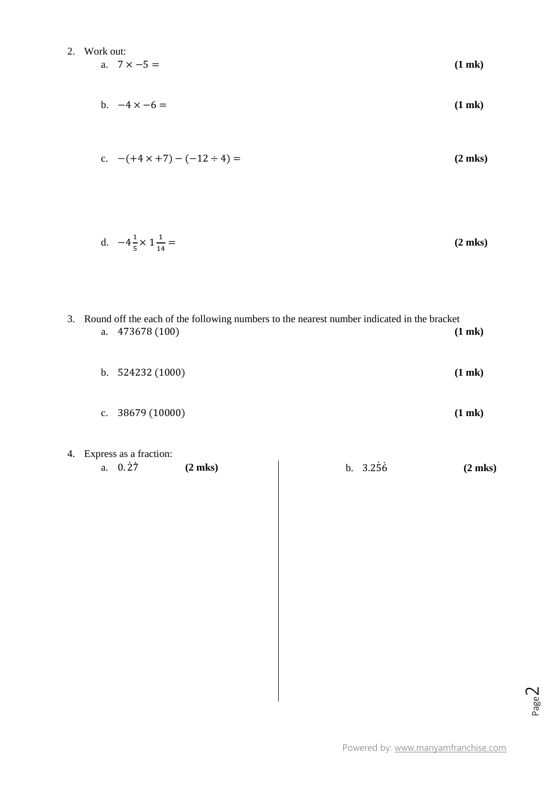2. Work out:  
a. 
$$
7 \times -5 =
$$
 (1 mk)

$$
b. \quad -4 \times -6 = \qquad (1 \text{ mk})
$$

c. 
$$
-(+4 \times +7) - (-12 \div 4) =
$$
 (2 mks)

d. 
$$
-4\frac{1}{5} \times 1\frac{1}{14} =
$$
 (2 mks)

|    | 3. Round off the each of the following numbers to the nearest number indicated in the bracket<br>a. 473678 (100) |                                                |              |  |          |              |  |  |  |
|----|------------------------------------------------------------------------------------------------------------------|------------------------------------------------|--------------|--|----------|--------------|--|--|--|
|    |                                                                                                                  | b. 524232 (1000)                               |              |  |          | $(1$ mk $)$  |  |  |  |
|    | $\mathbf{c}$ .                                                                                                   | 38679 (10000)                                  |              |  |          | $(1$ mk $)$  |  |  |  |
| 4. |                                                                                                                  | Express as a fraction:<br>$a. 0.\overline{27}$ | $(2$ mks $)$ |  | b. 3.256 | $(2$ mks $)$ |  |  |  |
|    |                                                                                                                  |                                                |              |  |          |              |  |  |  |
|    |                                                                                                                  |                                                |              |  |          |              |  |  |  |
|    |                                                                                                                  |                                                |              |  |          |              |  |  |  |
|    |                                                                                                                  |                                                |              |  |          |              |  |  |  |
|    |                                                                                                                  |                                                |              |  |          |              |  |  |  |
|    |                                                                                                                  |                                                |              |  |          |              |  |  |  |

Page  $\overline{\curvearrowright}$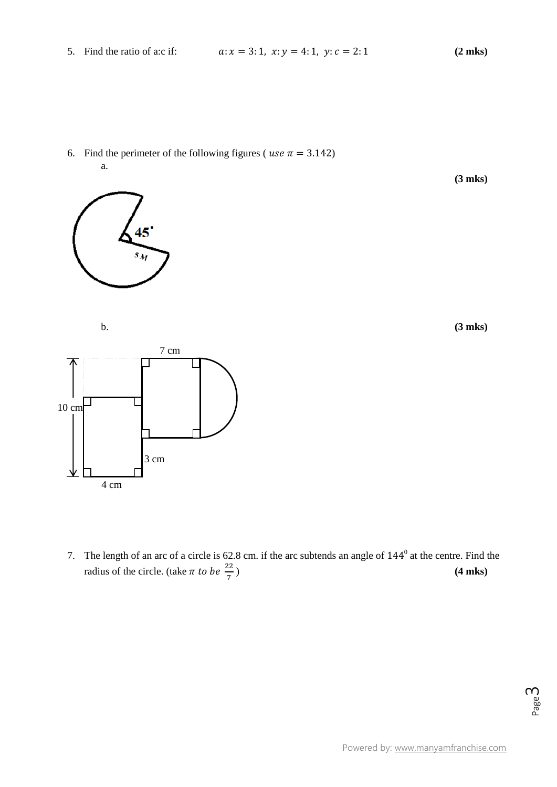6. Find the perimeter of the following figures ( $use \pi = 3.142$ ) a.

**(3 mks)**

b. **(3 mks)**



45

 $s_M$ 

7. The length of an arc of a circle is  $62.8$  cm. if the arc subtends an angle of  $144^\circ$  at the centre. Find the radius of the circle. (take  $\pi$  to be  $\frac{22}{7}$ ) (4 **mks**)

Page ന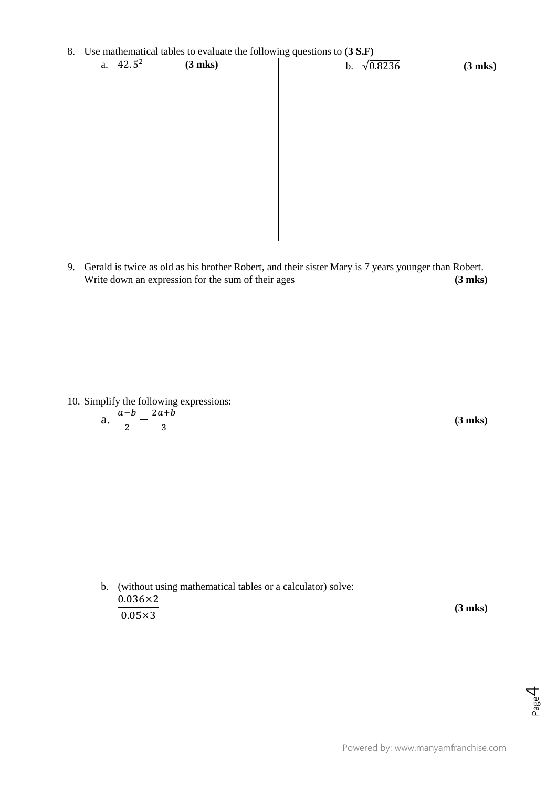| 8. Use mathematical tables to evaluate the following questions to (3 S.F) |             |              |  |                       |              |  |  |  |  |  |
|---------------------------------------------------------------------------|-------------|--------------|--|-----------------------|--------------|--|--|--|--|--|
|                                                                           | a. $42.5^2$ | $(3$ mks $)$ |  | $\sqrt{0.8236}$<br>b. | $(3$ mks $)$ |  |  |  |  |  |
|                                                                           |             |              |  |                       |              |  |  |  |  |  |
|                                                                           |             |              |  |                       |              |  |  |  |  |  |
|                                                                           |             |              |  |                       |              |  |  |  |  |  |
|                                                                           |             |              |  |                       |              |  |  |  |  |  |
|                                                                           |             |              |  |                       |              |  |  |  |  |  |
|                                                                           |             |              |  |                       |              |  |  |  |  |  |
|                                                                           |             |              |  |                       |              |  |  |  |  |  |
|                                                                           |             |              |  |                       |              |  |  |  |  |  |
|                                                                           |             |              |  |                       |              |  |  |  |  |  |
|                                                                           |             |              |  |                       |              |  |  |  |  |  |
|                                                                           |             |              |  |                       |              |  |  |  |  |  |

9. Gerald is twice as old as his brother Robert, and their sister Mary is 7 years younger than Robert. Write down an expression for the sum of their ages **(3 mks)** 

10. Simplify the following expressions:

a. 
$$
\frac{a-b}{2} - \frac{2a+b}{3}
$$

**(3 mks)**

b. (without using mathematical tables or a calculator) solve:  $0.036\times2$  $0.05\times3$ **(3 mks)**

Page 4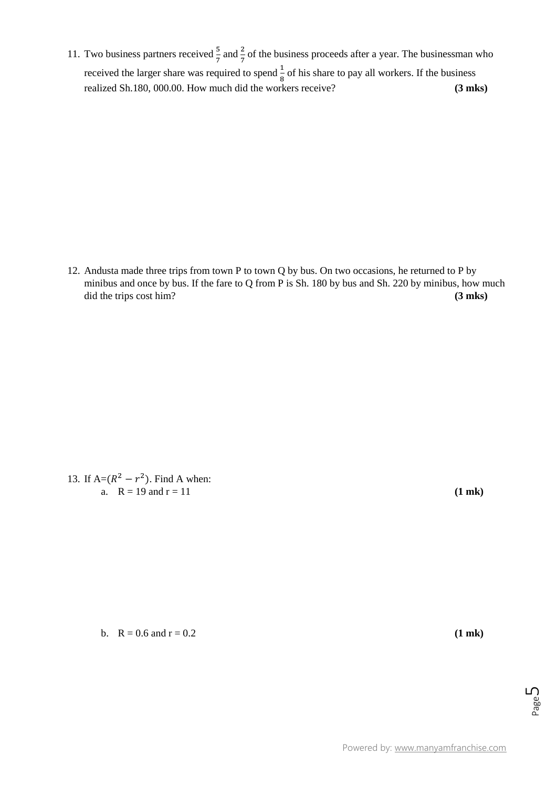11. Two business partners received  $\frac{3}{7}$  and  $\frac{2}{7}$  of the business proceeds after a year. The businessman who received the larger share was required to spend  $\frac{1}{8}$  of his share to pay all workers. If the business realized Sh.180, 000.00. How much did the workers receive? **(3 mks)**

12. Andusta made three trips from town P to town Q by bus. On two occasions, he returned to P by minibus and once by bus. If the fare to Q from P is Sh. 180 by bus and Sh. 220 by minibus, how much did the trips cost him? **(3 mks) (3 mks)** 

13. If  $A=(R^2 - r^2)$ . Find A when: a.  $R = 19$  and  $r = 11$  (1 mk)

b.  $R = 0.6$  and  $r = 0.2$  (1 **mk**)

Page ப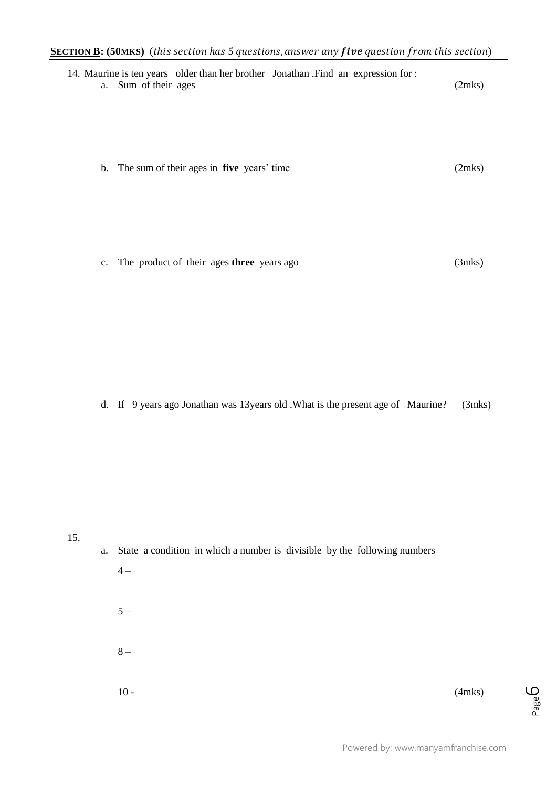| 14. Maurine is ten years older than her brother Jonathan .Find an expression for :<br>Sum of their ages<br>a. | (2mks) |
|---------------------------------------------------------------------------------------------------------------|--------|
| b. The sum of their ages in <b>five</b> years' time                                                           | (2mks) |
|                                                                                                               |        |

c. The product of their ages **three** years ago (3mks)

d. If 9 years ago Jonathan was 13years old .What is the present age of Maurine? (3mks)

15.

|       | a. State a condition in which a number is divisible by the following numbers |  |  |
|-------|------------------------------------------------------------------------------|--|--|
| $4-$  |                                                                              |  |  |
|       |                                                                              |  |  |
| $5 -$ |                                                                              |  |  |
|       |                                                                              |  |  |
| $8-$  |                                                                              |  |  |
|       |                                                                              |  |  |

 $10 -$  (4mks)

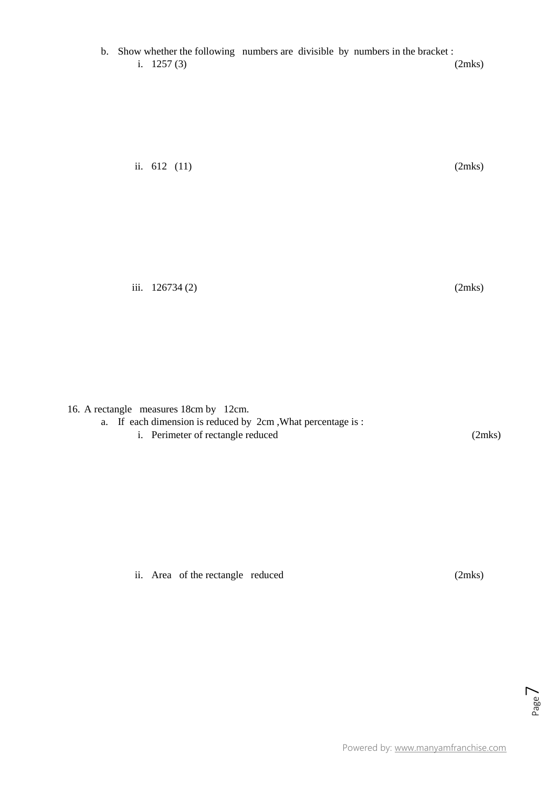ii.  $612$  (11) (2mks)

16. A rectangle measures 18cm by 12cm.

- a. If each dimension is reduced by 2cm ,What percentage is :
	- i. Perimeter of rectangle reduced (2mks)

ii. Area of the rectangle reduced (2mks)

Page  $\overline{\phantom{1}}$ 

iii.  $126734(2)$  (2mks)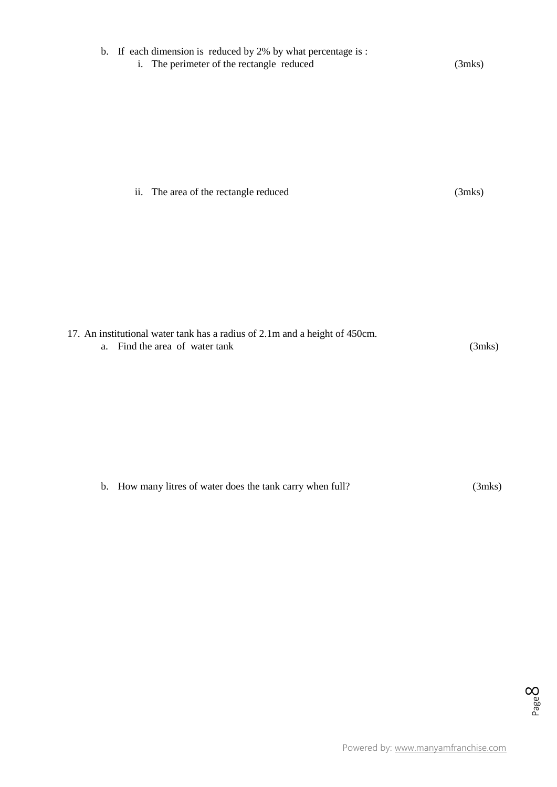| b. If each dimension is reduced by 2% by what percentage is :<br>i. The perimeter of the rectangle reduced | $(3$ mks $)$ |
|------------------------------------------------------------------------------------------------------------|--------------|
|                                                                                                            |              |
| ii. The area of the rectangle reduced                                                                      | $(3$ mks $)$ |
| 17. An institutional water tank has a radius of 2.1m and a height of 450cm.                                |              |
| Find the area of water tank<br>a.                                                                          | $(3$ mks $)$ |
|                                                                                                            |              |

b. How many litres of water does the tank carry when full? (3mks)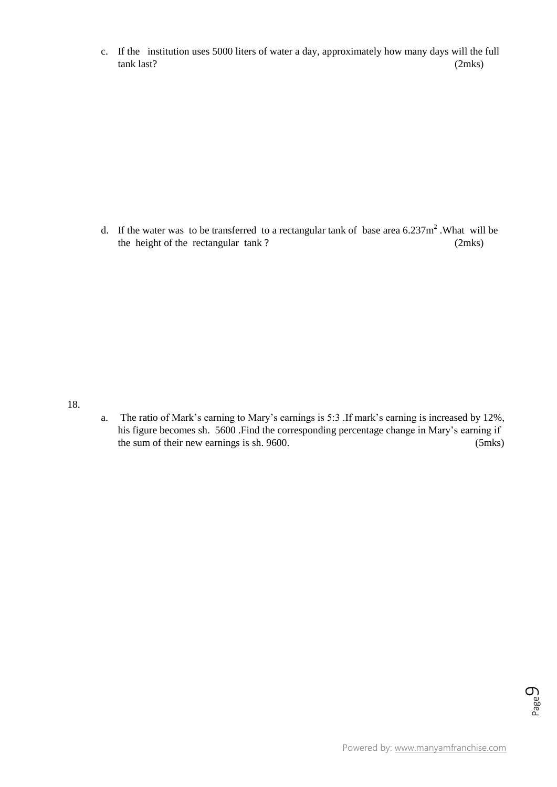c. If the institution uses 5000 liters of water a day, approximately how many days will the full tank last? (2mks)

d. If the water was to be transferred to a rectangular tank of base area  $6.237\text{m}^2$ . What will be the height of the rectangular tank ? (2mks)

18.

a. The ratio of Mark's earning to Mary's earnings is 5:3 .If mark's earning is increased by 12%, his figure becomes sh. 5600 .Find the corresponding percentage change in Mary's earning if the sum of their new earnings is sh. 9600. (5mks)